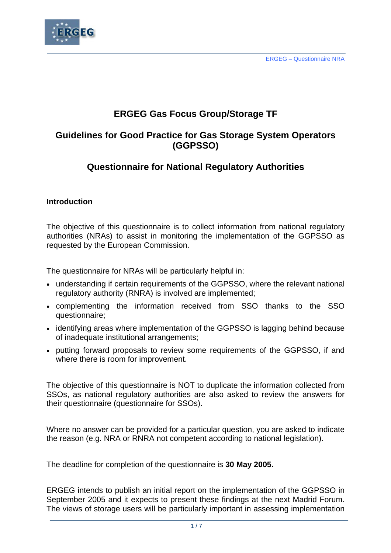

# **ERGEG Gas Focus Group/Storage TF**

# **Guidelines for Good Practice for Gas Storage System Operators (GGPSSO)**

# **Questionnaire for National Regulatory Authorities**

# **Introduction**

The objective of this questionnaire is to collect information from national regulatory authorities (NRAs) to assist in monitoring the implementation of the GGPSSO as requested by the European Commission.

The questionnaire for NRAs will be particularly helpful in:

- understanding if certain requirements of the GGPSSO, where the relevant national regulatory authority (RNRA) is involved are implemented;
- complementing the information received from SSO thanks to the SSO questionnaire;
- identifying areas where implementation of the GGPSSO is lagging behind because of inadequate institutional arrangements;
- putting forward proposals to review some requirements of the GGPSSO, if and where there is room for improvement.

The objective of this questionnaire is NOT to duplicate the information collected from SSOs, as national regulatory authorities are also asked to review the answers for their questionnaire (questionnaire for SSOs).

Where no answer can be provided for a particular question, you are asked to indicate the reason (e.g. NRA or RNRA not competent according to national legislation).

The deadline for completion of the questionnaire is **30 May 2005.**

ERGEG intends to publish an initial report on the implementation of the GGPSSO in September 2005 and it expects to present these findings at the next Madrid Forum. The views of storage users will be particularly important in assessing implementation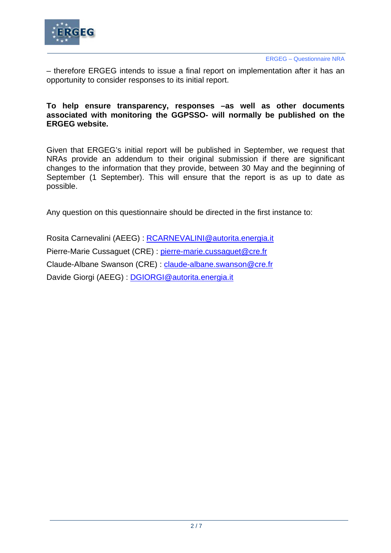

– therefore ERGEG intends to issue a final report on implementation after it has an opportunity to consider responses to its initial report.

# **To help ensure transparency, responses –as well as other documents associated with monitoring the GGPSSO- will normally be published on the ERGEG website.**

Given that ERGEG's initial report will be published in September, we request that NRAs provide an addendum to their original submission if there are significant changes to the information that they provide, between 30 May and the beginning of September (1 September). This will ensure that the report is as up to date as possible.

Any question on this questionnaire should be directed in the first instance to:

Rosita Carnevalini (AEEG) : [RCARNEVALINI@autorita.energia.it](mailto:RCARNEVALINI@autorita.energia.it) Pierre-Marie Cussaguet (CRE) : [pierre-marie.cussaguet@cre.fr](mailto:pierre-marie.cussaguet@cre.fr) Claude-Albane Swanson (CRE) : [claude-albane.swanson@cre.fr](mailto:claude-albane.swanson@cre.fr) Davide Giorgi (AEEG) : [DGIORGI@autorita.energia.it](mailto:DGIORGI@autorita.energia.it)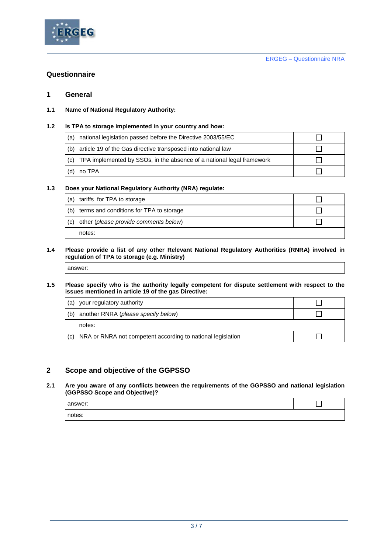

# **Questionnaire**

### **1 General**

**1.1 Name of National Regulatory Authority:** 

#### **1.2 Is TPA to storage implemented in your country and how:**

| (a)   | national legislation passed before the Directive 2003/55/EC               |  |
|-------|---------------------------------------------------------------------------|--|
|       | (b) article 19 of the Gas directive transposed into national law          |  |
|       | (c) TPA implemented by SSOs, in the absence of a national legal framework |  |
| l (d) | no TPA                                                                    |  |

### **1.3 Does your National Regulatory Authority (NRA) regulate:**

| (a) | tariffs for TPA to storage                  |  |
|-----|---------------------------------------------|--|
|     | (b) terms and conditions for TPA to storage |  |
| (c) | other (please provide comments below)       |  |
|     | notes:                                      |  |

#### **1.4 Please provide a list of any other Relevant National Regulatory Authorities (RNRA) involved in regulation of TPA to storage (e.g. Ministry)**

#### **1.5 Please specify who is the authority legally competent for dispute settlement with respect to the issues mentioned in article 19 of the gas Directive:**

| (a) | your regulatory authority                                       |  |
|-----|-----------------------------------------------------------------|--|
| (b) | another RNRA (please specify below)                             |  |
|     | notes:                                                          |  |
|     | (c) NRA or RNRA not competent according to national legislation |  |

# **2 Scope and objective of the GGPSSO**

#### **2.1 Are you aware of any conflicts between the requirements of the GGPSSO and national legislation (GGPSSO Scope and Objective)?**

| answer: |  |
|---------|--|
| notes:  |  |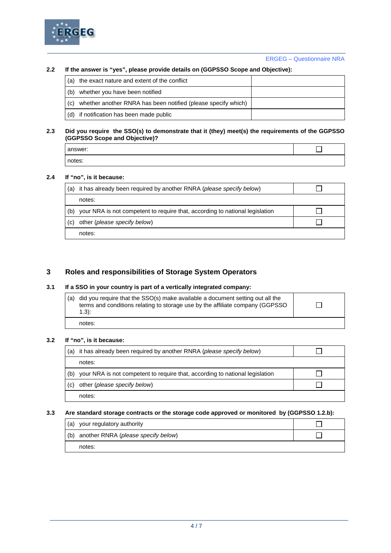

#### **2.2 If the answer is "yes", please provide details on (GGPSSO Scope and Objective):**

| (a) the exact nature and extent of the conflict                   |  |
|-------------------------------------------------------------------|--|
| (b) whether you have been notified                                |  |
| (c) whether another RNRA has been notified (please specify which) |  |
| (d) if notification has been made public                          |  |

#### **2.3 Did you require the SSO(s) to demonstrate that it (they) meet(s) the requirements of the GGPSSO (GGPSSO Scope and Objective)?**

| answer: |  |
|---------|--|
| notes:  |  |

#### **2.4 If "no", is it because:**

| (a) | it has already been required by another RNRA (please specify below)          |  |
|-----|------------------------------------------------------------------------------|--|
|     | notes:                                                                       |  |
| (b) | your NRA is not competent to require that, according to national legislation |  |
| (C) | other (please specify below)                                                 |  |
|     | notes:                                                                       |  |

## **3 Roles and responsibilities of Storage System Operators**

## **3.1 If a SSO in your country is part of a vertically integrated company:**

| $(1.3)$ : | $\vert$ (a) did you require that the SSO(s) make available a document setting out all the<br>terms and conditions relating to storage use by the affiliate company (GGPSSO) |  |
|-----------|-----------------------------------------------------------------------------------------------------------------------------------------------------------------------------|--|
| notes:    |                                                                                                                                                                             |  |

#### **3.2 If "no", is it because:**

| (a) | it has already been required by another RNRA (please specify below)          |  |
|-----|------------------------------------------------------------------------------|--|
|     | notes:                                                                       |  |
| (b) | your NRA is not competent to require that, according to national legislation |  |
| (C) | other (please specify below)                                                 |  |
|     | notes:                                                                       |  |

#### **3.3 Are standard storage contracts or the storage code approved or monitored by (GGPSSO 1.2.b):**

| (a) your regulatory authority           |  |
|-----------------------------------------|--|
| (b) another RNRA (please specify below) |  |
| notes:                                  |  |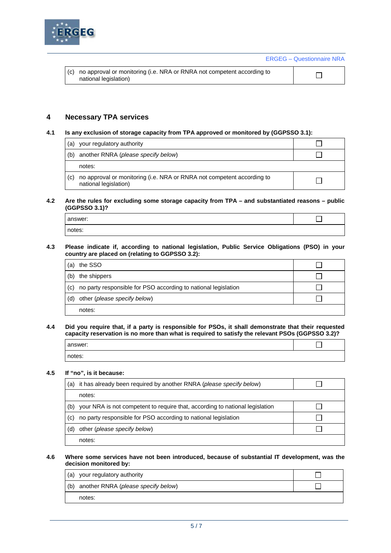

ERGEG – Questionnaire NRA

| national legislation) |  | (c) no approval or monitoring (i.e. NRA or RNRA not competent according to |  |  |
|-----------------------|--|----------------------------------------------------------------------------|--|--|
|-----------------------|--|----------------------------------------------------------------------------|--|--|

## **4 Necessary TPA services**

#### **4.1 Is any exclusion of storage capacity from TPA approved or monitored by (GGPSSO 3.1):**

| (a) | your regulatory authority                                                                       |  |
|-----|-------------------------------------------------------------------------------------------------|--|
| (b) | another RNRA (please specify below)                                                             |  |
|     | notes:                                                                                          |  |
| (c) | no approval or monitoring (i.e. NRA or RNRA not competent according to<br>national legislation) |  |

#### **4.2 Are the rules for excluding some storage capacity from TPA – and substantiated reasons – public (GGPSSO 3.1)?**

| answer: |  |
|---------|--|
| notes:  |  |

#### **4.3 Please indicate if, according to national legislation, Public Service Obligations (PSO) in your country are placed on (relating to GGPSSO 3.2):**

| (a) | the SSO                                                        |  |
|-----|----------------------------------------------------------------|--|
| (b) | the shippers                                                   |  |
| (C) | no party responsible for PSO according to national legislation |  |
| (d) | other (please specify below)                                   |  |
|     | notes:                                                         |  |

#### **4.4 Did you require that, if a party is responsible for PSOs, it shall demonstrate that their requested capacity reservation is no more than what is required to satisfy the relevant PSOs (GGPSSO 3.2)?**

| answer: |  |
|---------|--|
| notes:  |  |

#### **4.5 If "no", is it because:**

| (a) | it has already been required by another RNRA (please specify below)          |  |
|-----|------------------------------------------------------------------------------|--|
|     | notes:                                                                       |  |
| (b) | your NRA is not competent to require that, according to national legislation |  |
| (c) | no party responsible for PSO according to national legislation               |  |
| (d) | other (please specify below)                                                 |  |
|     | notes:                                                                       |  |

#### **4.6 Where some services have not been introduced, because of substantial IT development, was the decision monitored by:**

| (a) your regulatory authority           |  |
|-----------------------------------------|--|
| (b) another RNRA (please specify below) |  |
| notes:                                  |  |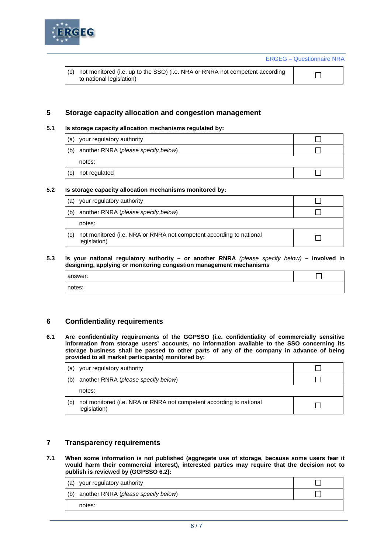

ERGEG – Questionnaire NRA

| (c) not monitored (i.e. up to the SSO) (i.e. NRA or RNRA not competent according |
|----------------------------------------------------------------------------------|
| to national legislation)                                                         |

 $\Box$ 

# **5 Storage capacity allocation and congestion management**

### **5.1 Is storage capacity allocation mechanisms regulated by:**

| (a) | your regulatory authority               |  |
|-----|-----------------------------------------|--|
|     | (b) another RNRA (please specify below) |  |
|     | notes:                                  |  |
| (c) | not regulated                           |  |

#### **5.2 Is storage capacity allocation mechanisms monitored by:**

| (a) | your regulatory authority                                                           |  |
|-----|-------------------------------------------------------------------------------------|--|
| (b) | another RNRA (please specify below)                                                 |  |
|     | notes:                                                                              |  |
| (C) | not monitored (i.e. NRA or RNRA not competent according to national<br>legislation) |  |

#### **5.3 Is your national regulatory authority – or another RNRA** *(please specify below)* **– involved in designing, applying or monitoring congestion management mechanisms**

| answer: |  |
|---------|--|
| notes:  |  |

# **6 Confidentiality requirements**

**6.1 Are confidentiality requirements of the GGPSSO (i.e. confidentiality of commercially sensitive information from storage users' accounts, no information available to the SSO concerning its storage business shall be passed to other parts of any of the company in advance of being provided to all market participants) monitored by:** 

| (a) | your regulatory authority                                                           |  |
|-----|-------------------------------------------------------------------------------------|--|
| (b) | another RNRA (please specify below)                                                 |  |
|     | notes:                                                                              |  |
| (C) | not monitored (i.e. NRA or RNRA not competent according to national<br>legislation) |  |

# **7 Transparency requirements**

**7.1 When some information is not published (aggregate use of storage, because some users fear it would harm their commercial interest), interested parties may require that the decision not to publish is reviewed by (GGPSSO 6.2):** 

| (a) your regulatory authority           |  |
|-----------------------------------------|--|
| (b) another RNRA (please specify below) |  |
| notes:                                  |  |